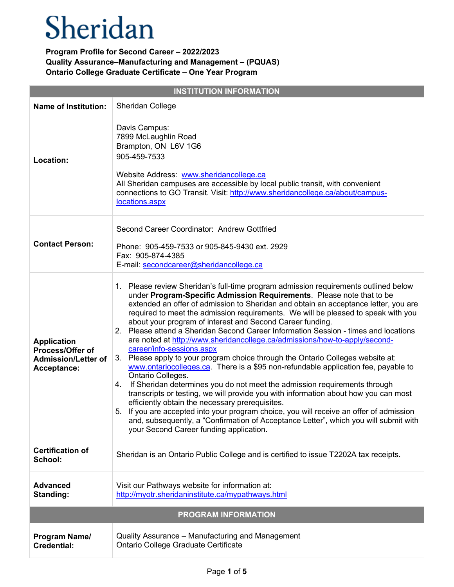| <b>INSTITUTION INFORMATION</b>                                                      |                                                                                                                                                                                                                                                                                                                                                                                                                                                                                                                                                                                                                                                                                                                                                                                                                                                                                                                                                                                                                                                                                                                                                                                                                                                                  |  |
|-------------------------------------------------------------------------------------|------------------------------------------------------------------------------------------------------------------------------------------------------------------------------------------------------------------------------------------------------------------------------------------------------------------------------------------------------------------------------------------------------------------------------------------------------------------------------------------------------------------------------------------------------------------------------------------------------------------------------------------------------------------------------------------------------------------------------------------------------------------------------------------------------------------------------------------------------------------------------------------------------------------------------------------------------------------------------------------------------------------------------------------------------------------------------------------------------------------------------------------------------------------------------------------------------------------------------------------------------------------|--|
| <b>Name of Institution:</b>                                                         | <b>Sheridan College</b>                                                                                                                                                                                                                                                                                                                                                                                                                                                                                                                                                                                                                                                                                                                                                                                                                                                                                                                                                                                                                                                                                                                                                                                                                                          |  |
| Location:                                                                           | Davis Campus:<br>7899 McLaughlin Road<br>Brampton, ON L6V 1G6<br>905-459-7533<br>Website Address: www.sheridancollege.ca<br>All Sheridan campuses are accessible by local public transit, with convenient<br>connections to GO Transit. Visit: http://www.sheridancollege.ca/about/campus-<br>locations.aspx                                                                                                                                                                                                                                                                                                                                                                                                                                                                                                                                                                                                                                                                                                                                                                                                                                                                                                                                                     |  |
| <b>Contact Person:</b>                                                              | Second Career Coordinator: Andrew Gottfried<br>Phone: 905-459-7533 or 905-845-9430 ext. 2929<br>Fax: 905-874-4385<br>E-mail: secondcareer@sheridancollege.ca                                                                                                                                                                                                                                                                                                                                                                                                                                                                                                                                                                                                                                                                                                                                                                                                                                                                                                                                                                                                                                                                                                     |  |
| <b>Application</b><br>Process/Offer of<br><b>Admission/Letter of</b><br>Acceptance: | 1. Please review Sheridan's full-time program admission requirements outlined below<br>under Program-Specific Admission Requirements. Please note that to be<br>extended an offer of admission to Sheridan and obtain an acceptance letter, you are<br>required to meet the admission requirements. We will be pleased to speak with you<br>about your program of interest and Second Career funding.<br>2. Please attend a Sheridan Second Career Information Session - times and locations<br>are noted at http://www.sheridancollege.ca/admissions/how-to-apply/second-<br>career/info-sessions.aspx<br>3. Please apply to your program choice through the Ontario Colleges website at:<br>www.ontariocolleges.ca. There is a \$95 non-refundable application fee, payable to<br>Ontario Colleges.<br>If Sheridan determines you do not meet the admission requirements through<br>4.<br>transcripts or testing, we will provide you with information about how you can most<br>efficiently obtain the necessary prerequisites.<br>5. If you are accepted into your program choice, you will receive an offer of admission<br>and, subsequently, a "Confirmation of Acceptance Letter", which you will submit with<br>your Second Career funding application. |  |
| <b>Certification of</b><br>School:                                                  | Sheridan is an Ontario Public College and is certified to issue T2202A tax receipts.                                                                                                                                                                                                                                                                                                                                                                                                                                                                                                                                                                                                                                                                                                                                                                                                                                                                                                                                                                                                                                                                                                                                                                             |  |
| <b>Advanced</b><br>Standing:                                                        | Visit our Pathways website for information at:<br>http://myotr.sheridaninstitute.ca/mypathways.html                                                                                                                                                                                                                                                                                                                                                                                                                                                                                                                                                                                                                                                                                                                                                                                                                                                                                                                                                                                                                                                                                                                                                              |  |
| <b>PROGRAM INFORMATION</b>                                                          |                                                                                                                                                                                                                                                                                                                                                                                                                                                                                                                                                                                                                                                                                                                                                                                                                                                                                                                                                                                                                                                                                                                                                                                                                                                                  |  |
| Program Name/<br><b>Credential:</b>                                                 | Quality Assurance - Manufacturing and Management<br>Ontario College Graduate Certificate                                                                                                                                                                                                                                                                                                                                                                                                                                                                                                                                                                                                                                                                                                                                                                                                                                                                                                                                                                                                                                                                                                                                                                         |  |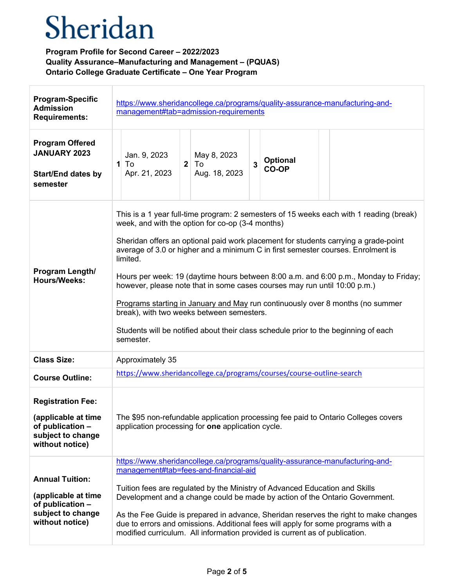| <b>Program-Specific</b><br><b>Admission</b><br><b>Requirements:</b>                                         | https://www.sheridancollege.ca/programs/quality-assurance-manufacturing-and-<br>management#tab=admission-requirements                                                                                                                                                                                                                                                                                                                                                                                                                                                                                                                                                                                                                      |
|-------------------------------------------------------------------------------------------------------------|--------------------------------------------------------------------------------------------------------------------------------------------------------------------------------------------------------------------------------------------------------------------------------------------------------------------------------------------------------------------------------------------------------------------------------------------------------------------------------------------------------------------------------------------------------------------------------------------------------------------------------------------------------------------------------------------------------------------------------------------|
| <b>Program Offered</b><br><b>JANUARY 2023</b><br><b>Start/End dates by</b><br>semester                      | Jan. 9, 2023<br>May 8, 2023<br><b>Optional</b><br>$\overline{3}$<br>To<br>$\mathbf{1}$<br>$2$ To<br>CO-OP<br>Apr. 21, 2023<br>Aug. 18, 2023                                                                                                                                                                                                                                                                                                                                                                                                                                                                                                                                                                                                |
| Program Length/<br><b>Hours/Weeks:</b>                                                                      | This is a 1 year full-time program: 2 semesters of 15 weeks each with 1 reading (break)<br>week, and with the option for co-op (3-4 months)<br>Sheridan offers an optional paid work placement for students carrying a grade-point<br>average of 3.0 or higher and a minimum C in first semester courses. Enrolment is<br>limited.<br>Hours per week: 19 (daytime hours between 8:00 a.m. and 6:00 p.m., Monday to Friday;<br>however, please note that in some cases courses may run until 10:00 p.m.)<br>Programs starting in January and May run continuously over 8 months (no summer<br>break), with two weeks between semesters.<br>Students will be notified about their class schedule prior to the beginning of each<br>semester. |
| <b>Class Size:</b>                                                                                          | Approximately 35                                                                                                                                                                                                                                                                                                                                                                                                                                                                                                                                                                                                                                                                                                                           |
| <b>Course Outline:</b>                                                                                      | https://www.sheridancollege.ca/programs/courses/course-outline-search                                                                                                                                                                                                                                                                                                                                                                                                                                                                                                                                                                                                                                                                      |
| <b>Registration Fee:</b><br>(applicable at time<br>of publication -<br>subject to change<br>without notice) | The \$95 non-refundable application processing fee paid to Ontario Colleges covers<br>application processing for one application cycle.                                                                                                                                                                                                                                                                                                                                                                                                                                                                                                                                                                                                    |
| <b>Annual Tuition:</b><br>(applicable at time<br>of publication -<br>subject to change<br>without notice)   | https://www.sheridancollege.ca/programs/quality-assurance-manufacturing-and-<br>management#tab=fees-and-financial-aid<br>Tuition fees are regulated by the Ministry of Advanced Education and Skills<br>Development and a change could be made by action of the Ontario Government.<br>As the Fee Guide is prepared in advance, Sheridan reserves the right to make changes<br>due to errors and omissions. Additional fees will apply for some programs with a<br>modified curriculum. All information provided is current as of publication.                                                                                                                                                                                             |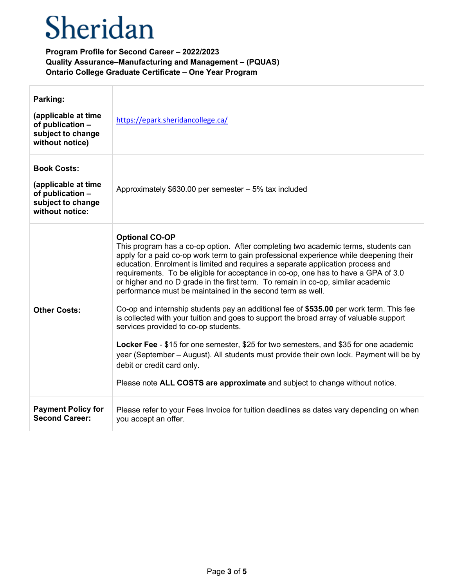| Parking:<br>(applicable at time<br>of publication -<br>subject to change<br>without notice)           | https://epark.sheridancollege.ca/                                                                                                                                                                                                                                                                                                                                                                                                                                                                                                                                                                                                                                                                                                                                                                                                                                                                                                                                                                                                                              |
|-------------------------------------------------------------------------------------------------------|----------------------------------------------------------------------------------------------------------------------------------------------------------------------------------------------------------------------------------------------------------------------------------------------------------------------------------------------------------------------------------------------------------------------------------------------------------------------------------------------------------------------------------------------------------------------------------------------------------------------------------------------------------------------------------------------------------------------------------------------------------------------------------------------------------------------------------------------------------------------------------------------------------------------------------------------------------------------------------------------------------------------------------------------------------------|
| <b>Book Costs:</b><br>(applicable at time<br>of publication -<br>subject to change<br>without notice: | Approximately \$630.00 per semester - 5% tax included                                                                                                                                                                                                                                                                                                                                                                                                                                                                                                                                                                                                                                                                                                                                                                                                                                                                                                                                                                                                          |
| <b>Other Costs:</b>                                                                                   | <b>Optional CO-OP</b><br>This program has a co-op option. After completing two academic terms, students can<br>apply for a paid co-op work term to gain professional experience while deepening their<br>education. Enrolment is limited and requires a separate application process and<br>requirements. To be eligible for acceptance in co-op, one has to have a GPA of 3.0<br>or higher and no D grade in the first term. To remain in co-op, similar academic<br>performance must be maintained in the second term as well.<br>Co-op and internship students pay an additional fee of \$535.00 per work term. This fee<br>is collected with your tuition and goes to support the broad array of valuable support<br>services provided to co-op students.<br>Locker Fee - \$15 for one semester, \$25 for two semesters, and \$35 for one academic<br>year (September – August). All students must provide their own lock. Payment will be by<br>debit or credit card only.<br>Please note ALL COSTS are approximate and subject to change without notice. |
| <b>Payment Policy for</b><br><b>Second Career:</b>                                                    | Please refer to your Fees Invoice for tuition deadlines as dates vary depending on when<br>you accept an offer.                                                                                                                                                                                                                                                                                                                                                                                                                                                                                                                                                                                                                                                                                                                                                                                                                                                                                                                                                |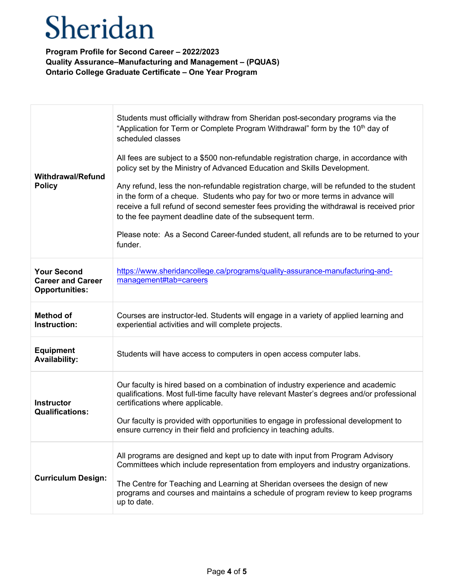| <b>Withdrawal/Refund</b><br><b>Policy</b>                               | Students must officially withdraw from Sheridan post-secondary programs via the<br>"Application for Term or Complete Program Withdrawal" form by the 10 <sup>th</sup> day of<br>scheduled classes<br>All fees are subject to a \$500 non-refundable registration charge, in accordance with<br>policy set by the Ministry of Advanced Education and Skills Development.<br>Any refund, less the non-refundable registration charge, will be refunded to the student<br>in the form of a cheque. Students who pay for two or more terms in advance will<br>receive a full refund of second semester fees providing the withdrawal is received prior<br>to the fee payment deadline date of the subsequent term.<br>Please note: As a Second Career-funded student, all refunds are to be returned to your<br>funder. |
|-------------------------------------------------------------------------|---------------------------------------------------------------------------------------------------------------------------------------------------------------------------------------------------------------------------------------------------------------------------------------------------------------------------------------------------------------------------------------------------------------------------------------------------------------------------------------------------------------------------------------------------------------------------------------------------------------------------------------------------------------------------------------------------------------------------------------------------------------------------------------------------------------------|
| <b>Your Second</b><br><b>Career and Career</b><br><b>Opportunities:</b> | https://www.sheridancollege.ca/programs/quality-assurance-manufacturing-and-<br>management#tab=careers                                                                                                                                                                                                                                                                                                                                                                                                                                                                                                                                                                                                                                                                                                              |
| <b>Method of</b><br>Instruction:                                        | Courses are instructor-led. Students will engage in a variety of applied learning and<br>experiential activities and will complete projects.                                                                                                                                                                                                                                                                                                                                                                                                                                                                                                                                                                                                                                                                        |
| <b>Equipment</b><br><b>Availability:</b>                                | Students will have access to computers in open access computer labs.                                                                                                                                                                                                                                                                                                                                                                                                                                                                                                                                                                                                                                                                                                                                                |
| <b>Instructor</b><br><b>Qualifications:</b>                             | Our faculty is hired based on a combination of industry experience and academic<br>qualifications. Most full-time faculty have relevant Master's degrees and/or professional<br>certifications where applicable.<br>Our faculty is provided with opportunities to engage in professional development to<br>ensure currency in their field and proficiency in teaching adults.                                                                                                                                                                                                                                                                                                                                                                                                                                       |
| <b>Curriculum Design:</b>                                               | All programs are designed and kept up to date with input from Program Advisory<br>Committees which include representation from employers and industry organizations.<br>The Centre for Teaching and Learning at Sheridan oversees the design of new<br>programs and courses and maintains a schedule of program review to keep programs<br>up to date.                                                                                                                                                                                                                                                                                                                                                                                                                                                              |